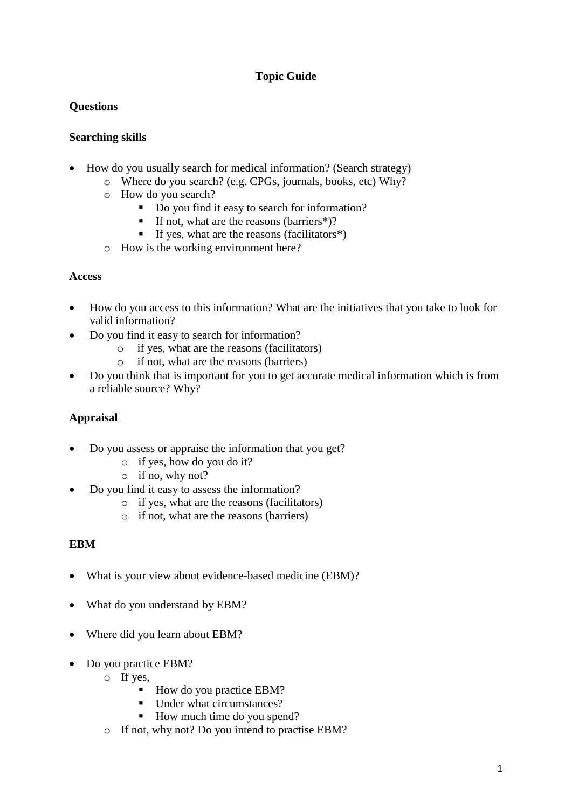# **Topic Guide**

## **Questions**

### **Searching skills**

- How do you usually search for medical information? (Search strategy)
	- o Where do you search? (e.g. CPGs, journals, books, etc) Why?
		- o How do you search?
			- Do you find it easy to search for information?
			- If not, what are the reasons (barriers\*)?
			- If yes, what are the reasons (facilitators $*)$
	- o How is the working environment here?

#### **Access**

- How do you access to this information? What are the initiatives that you take to look for valid information?
- Do you find it easy to search for information?
	- o if yes, what are the reasons (facilitators)
	- o if not, what are the reasons (barriers)
- Do you think that is important for you to get accurate medical information which is from a reliable source? Why?

## **Appraisal**

- Do you assess or appraise the information that you get?
	- o if yes, how do you do it?
	- o if no, why not?
- Do you find it easy to assess the information?
	- o if yes, what are the reasons (facilitators)
	- o if not, what are the reasons (barriers)

#### **EBM**

- What is your view about evidence-based medicine (EBM)?
- What do you understand by EBM?
- Where did you learn about EBM?
- Do you practice EBM?
	- o If yes,
		- How do you practice EBM?
		- Under what circumstances?
		- How much time do you spend?
	- o If not, why not? Do you intend to practise EBM?